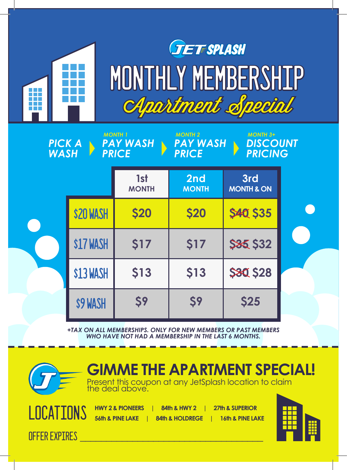

## **TET SPLASH** MONTHLY MEMBERSHIP Apartment Special

| <b>MONTH 1</b><br><b>MONTH 2</b><br><b>MONTH 3+</b><br><b>PAY WASH</b><br><b>PAY WASH</b><br><b>DISCOUNT</b><br><b>PICK A</b><br><b>PRICING</b><br><b>PRICE</b><br><b>PRICE</b><br><b>WASH</b> |                 |                     |                     |                              |  |
|------------------------------------------------------------------------------------------------------------------------------------------------------------------------------------------------|-----------------|---------------------|---------------------|------------------------------|--|
|                                                                                                                                                                                                |                 | 1st<br><b>MONTH</b> | 2nd<br><b>MONTH</b> | 3rd<br><b>MONTH &amp; ON</b> |  |
|                                                                                                                                                                                                | <b>S20 WASH</b> | <b>\$20</b>         | <b>\$20</b>         | <b>\$40, \$35</b>            |  |
|                                                                                                                                                                                                | \$17 WASH       | \$17                | <b>\$17</b>         | <b>\$85 \$32</b>             |  |
|                                                                                                                                                                                                | \$13 WASH       | <b>\$13</b>         | <b>\$13</b>         | <b>\$80, \$28</b>            |  |
|                                                                                                                                                                                                | \$9 WASH        | \$9                 | \$9                 | <b>\$25</b>                  |  |

*+TAX ON ALL MEMBERSHIPS. ONLY FOR NEW MEMBERS OR PAST MEMBERS WHO HAVE NOT HAD A MEMBERSHIP IN THE LAST 6 MONTHS.*



**GIMME THE APARTMENT SPECIAL!**

Present this coupon at any JetSplash location to claim the deal above.

OFFER EXPIRES **\_\_\_\_\_\_\_\_\_\_\_\_\_\_\_\_\_\_\_\_\_\_\_\_\_\_\_\_\_\_\_\_\_\_\_**

| ATIONS | <b>HWY 2 &amp; PIONEERS</b> | <b>84th &amp; HWY 2</b>    | <b>1</b> 27th & SUPERIOR    |
|--------|-----------------------------|----------------------------|-----------------------------|
|        | 56th & PINE LAKE            | <b>84th &amp; HOLDREGE</b> | <b>16th &amp; PINE LAKE</b> |